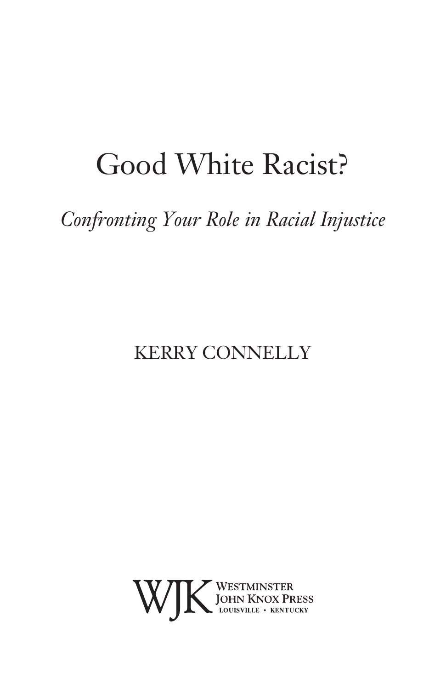# Good White Racist?

## *Confronting Your Role in Racial Injustice*

### Kerry Connelly

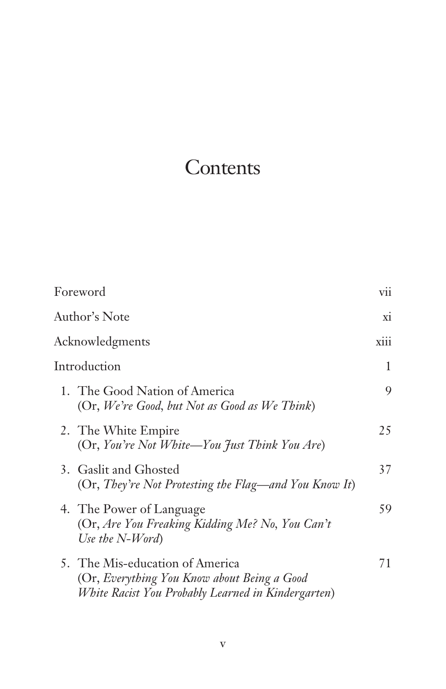## **Contents**

|               | Foreword                                                                                                                             | vii             |
|---------------|--------------------------------------------------------------------------------------------------------------------------------------|-----------------|
| Author's Note |                                                                                                                                      | $\overline{X1}$ |
|               | Acknowledgments                                                                                                                      | xiii            |
|               | Introduction                                                                                                                         | 1               |
|               | 1. The Good Nation of America<br>(Or, We're Good, but Not as Good as We Think)                                                       | 9               |
|               | 2. The White Empire<br>(Or, You're Not White—You Just Think You Are)                                                                 | 25              |
|               | 3. Gaslit and Ghosted<br>(Or, They're Not Protesting the Flag—and You Know It)                                                       | 37              |
|               | 4. The Power of Language<br>(Or, Are You Freaking Kidding Me? No, You Can't<br>Use the $N$ -Word)                                    | 59              |
|               | 5. The Mis-education of America<br>(Or, Everything You Know about Being a Good<br>White Racist You Probably Learned in Kindergarten) | 71              |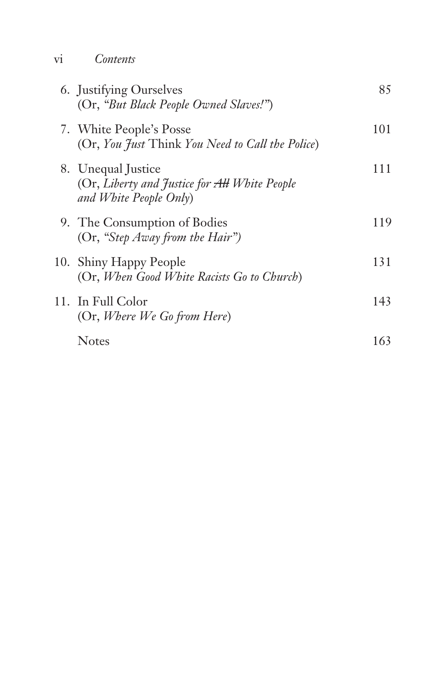| 6. Justifying Ourselves<br>(Or, "But Black People Owned Slaves!")                              | 85  |
|------------------------------------------------------------------------------------------------|-----|
| 7. White People's Posse<br>(Or, You Just Think You Need to Call the Police)                    | 101 |
| 8. Unequal Justice<br>(Or, Liberty and Justice for All White People)<br>and White People Only) | 111 |
| 9. The Consumption of Bodies<br>(Or, "Step Away from the Hair")                                | 119 |
| 10. Shiny Happy People<br>(Or, When Good White Racists Go to Church)                           | 131 |
| 11. In Full Color<br>(Or, Where We Go from Here)                                               | 143 |
| <b>Notes</b>                                                                                   | 163 |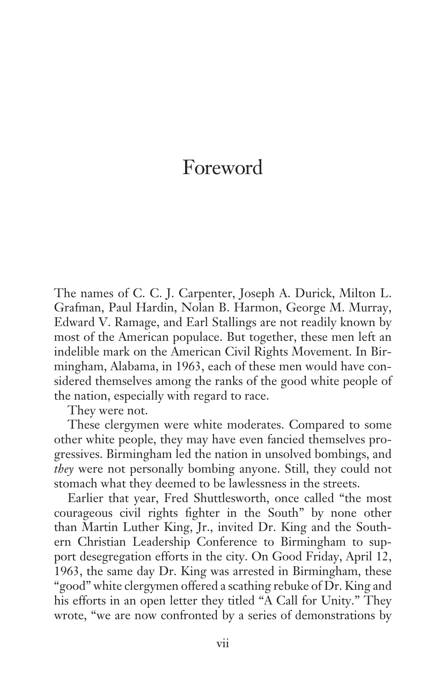### Foreword

The names of C. C. J. Carpenter, Joseph A. Durick, Milton L. Grafman, Paul Hardin, Nolan B. Harmon, George M. Murray, Edward V. Ramage, and Earl Stallings are not readily known by most of the American populace. But together, these men left an indelible mark on the American Civil Rights Movement. In Birmingham, Alabama, in 1963, each of these men would have considered themselves among the ranks of the good white people of the nation, especially with regard to race.

They were not.

These clergymen were white moderates. Compared to some other white people, they may have even fancied themselves progressives. Birmingham led the nation in unsolved bombings, and *they* were not personally bombing anyone. Still, they could not stomach what they deemed to be lawlessness in the streets.

Earlier that year, Fred Shuttlesworth, once called "the most courageous civil rights fighter in the South" by none other than Martin Luther King, Jr., invited Dr. King and the Southern Christian Leadership Conference to Birmingham to support desegregation efforts in the city. On Good Friday, April 12, 1963, the same day Dr. King was arrested in Birmingham, these "good" white clergymen offered a scathing rebuke of Dr. King and his efforts in an open letter they titled "A Call for Unity." They wrote, "we are now confronted by a series of demonstrations by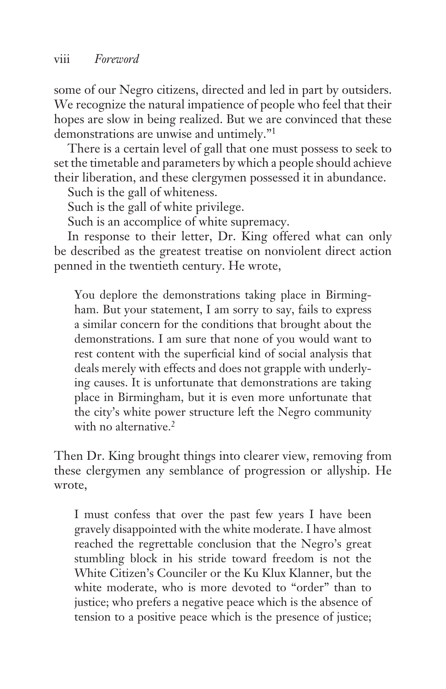some of our Negro citizens, directed and led in part by outsiders. We recognize the natural impatience of people who feel that their hopes are slow in being realized. But we are convinced that these demonstrations are unwise and untimely."1

There is a certain level of gall that one must possess to seek to set the timetable and parameters by which a people should achieve their liberation, and these clergymen possessed it in abundance.

Such is the gall of whiteness.

Such is the gall of white privilege.

Such is an accomplice of white supremacy.

In response to their letter, Dr. King offered what can only be described as the greatest treatise on nonviolent direct action penned in the twentieth century. He wrote,

You deplore the demonstrations taking place in Birmingham. But your statement, I am sorry to say, fails to express a similar concern for the conditions that brought about the demonstrations. I am sure that none of you would want to rest content with the superficial kind of social analysis that deals merely with effects and does not grapple with underlying causes. It is unfortunate that demonstrations are taking place in Birmingham, but it is even more unfortunate that the city's white power structure left the Negro community with no alternative.<sup>2</sup>

Then Dr. King brought things into clearer view, removing from these clergymen any semblance of progression or allyship. He wrote,

I must confess that over the past few years I have been gravely disappointed with the white moderate. I have almost reached the regrettable conclusion that the Negro's great stumbling block in his stride toward freedom is not the White Citizen's Counciler or the Ku Klux Klanner, but the white moderate, who is more devoted to "order" than to justice; who prefers a negative peace which is the absence of tension to a positive peace which is the presence of justice;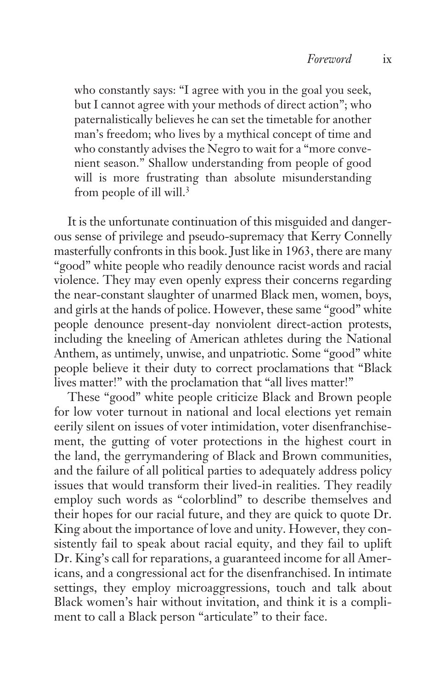who constantly says: "I agree with you in the goal you seek, but I cannot agree with your methods of direct action"; who paternalistically believes he can set the timetable for another man's freedom; who lives by a mythical concept of time and who constantly advises the Negro to wait for a "more convenient season." Shallow understanding from people of good will is more frustrating than absolute misunderstanding from people of ill will.3

It is the unfortunate continuation of this misguided and dangerous sense of privilege and pseudo-supremacy that Kerry Connelly masterfully confronts in this book. Just like in 1963, there are many "good" white people who readily denounce racist words and racial violence. They may even openly express their concerns regarding the near-constant slaughter of unarmed Black men, women, boys, and girls at the hands of police. However, these same "good" white people denounce present-day nonviolent direct-action protests, including the kneeling of American athletes during the National Anthem, as untimely, unwise, and unpatriotic. Some "good" white people believe it their duty to correct proclamations that "Black lives matter!" with the proclamation that "all lives matter!"

These "good" white people criticize Black and Brown people for low voter turnout in national and local elections yet remain eerily silent on issues of voter intimidation, voter disenfranchisement, the gutting of voter protections in the highest court in the land, the gerrymandering of Black and Brown communities, and the failure of all political parties to adequately address policy issues that would transform their lived-in realities. They readily employ such words as "colorblind" to describe themselves and their hopes for our racial future, and they are quick to quote Dr. King about the importance of love and unity. However, they consistently fail to speak about racial equity, and they fail to uplift Dr. King's call for reparations, a guaranteed income for all Americans, and a congressional act for the disenfranchised. In intimate settings, they employ microaggressions, touch and talk about Black women's hair without invitation, and think it is a compliment to call a Black person "articulate" to their face.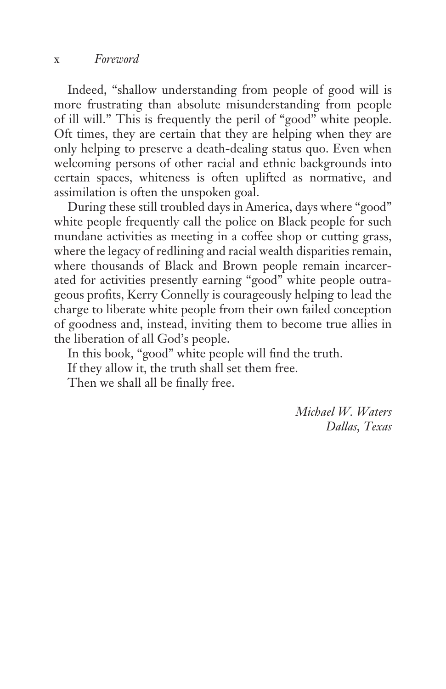Indeed, "shallow understanding from people of good will is more frustrating than absolute misunderstanding from people of ill will." This is frequently the peril of "good" white people. Oft times, they are certain that they are helping when they are only helping to preserve a death-dealing status quo. Even when welcoming persons of other racial and ethnic backgrounds into certain spaces, whiteness is often uplifted as normative, and assimilation is often the unspoken goal.

During these still troubled days in America, days where "good" white people frequently call the police on Black people for such mundane activities as meeting in a coffee shop or cutting grass, where the legacy of redlining and racial wealth disparities remain, where thousands of Black and Brown people remain incarcerated for activities presently earning "good" white people outrageous profits, Kerry Connelly is courageously helping to lead the charge to liberate white people from their own failed conception of goodness and, instead, inviting them to become true allies in the liberation of all God's people.

In this book, "good" white people will find the truth. If they allow it, the truth shall set them free. Then we shall all be finally free.

> *Michael W. Waters Dallas, Texas*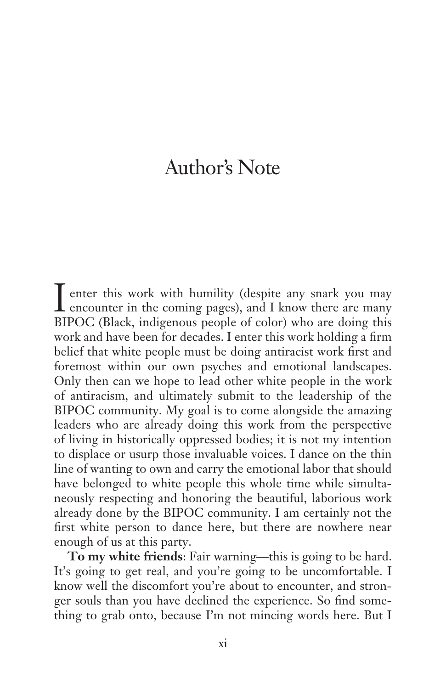### Author's Note

L enter this work with humility (despite any snark you may encounter in the coming pages), and I know there are many BIPOC (Black, indigenous people of color) who are doing this work and have been for decades. I enter this work holding a firm belief that white people must be doing antiracist work first and foremost within our own psyches and emotional landscapes. Only then can we hope to lead other white people in the work of antiracism, and ultimately submit to the leadership of the BIPOC community. My goal is to come alongside the amazing leaders who are already doing this work from the perspective of living in historically oppressed bodies; it is not my intention to displace or usurp those invaluable voices. I dance on the thin line of wanting to own and carry the emotional labor that should have belonged to white people this whole time while simultaneously respecting and honoring the beautiful, laborious work already done by the BIPOC community. I am certainly not the first white person to dance here, but there are nowhere near enough of us at this party.

**To my white friends**: Fair warning—this is going to be hard. It's going to get real, and you're going to be uncomfortable. I know well the discomfort you're about to encounter, and stronger souls than you have declined the experience. So find something to grab onto, because I'm not mincing words here. But I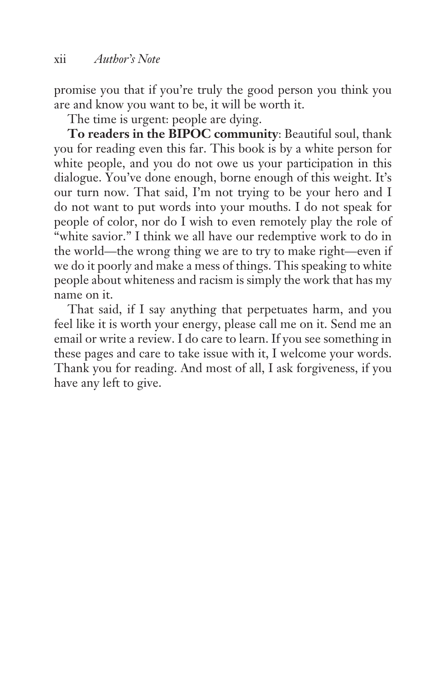promise you that if you're truly the good person you think you are and know you want to be, it will be worth it.

The time is urgent: people are dying.

**To readers in the BIPOC community**: Beautiful soul, thank you for reading even this far. This book is by a white person for white people, and you do not owe us your participation in this dialogue. You've done enough, borne enough of this weight. It's our turn now. That said, I'm not trying to be your hero and I do not want to put words into your mouths. I do not speak for people of color, nor do I wish to even remotely play the role of "white savior." I think we all have our redemptive work to do in the world—the wrong thing we are to try to make right—even if we do it poorly and make a mess of things. This speaking to white people about whiteness and racism is simply the work that has my name on it.

That said, if I say anything that perpetuates harm, and you feel like it is worth your energy, please call me on it. Send me an email or write a review. I do care to learn. If you see something in these pages and care to take issue with it, I welcome your words. Thank you for reading. And most of all, I ask forgiveness, if you have any left to give.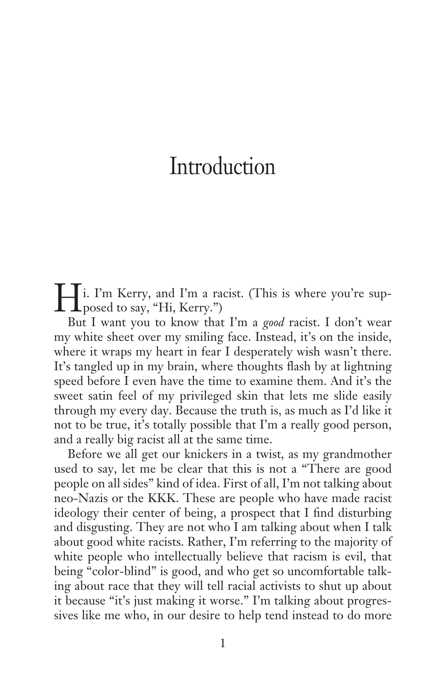## Introduction

Hi. I'm Kerry, and I'm a racist. (This is where you're sup-posed to say, "Hi, Kerry.")

But I want you to know that I'm a *good* racist. I don't wear my white sheet over my smiling face. Instead, it's on the inside, where it wraps my heart in fear I desperately wish wasn't there. It's tangled up in my brain, where thoughts flash by at lightning speed before I even have the time to examine them. And it's the sweet satin feel of my privileged skin that lets me slide easily through my every day. Because the truth is, as much as I'd like it not to be true, it's totally possible that I'm a really good person, and a really big racist all at the same time.

Before we all get our knickers in a twist, as my grandmother used to say, let me be clear that this is not a "There are good people on all sides" kind of idea. First of all, I'm not talking about neo-Nazis or the KKK. These are people who have made racist ideology their center of being, a prospect that I find disturbing and disgusting. They are not who I am talking about when I talk about good white racists. Rather, I'm referring to the majority of white people who intellectually believe that racism is evil, that being "color-blind" is good, and who get so uncomfortable talking about race that they will tell racial activists to shut up about it because "it's just making it worse." I'm talking about progressives like me who, in our desire to help tend instead to do more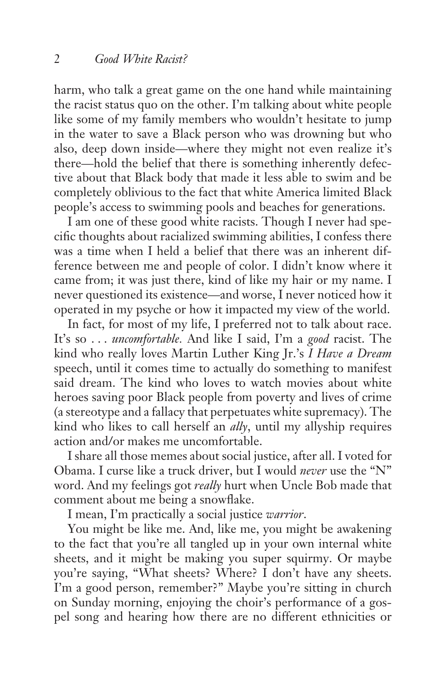harm, who talk a great game on the one hand while maintaining the racist status quo on the other. I'm talking about white people like some of my family members who wouldn't hesitate to jump in the water to save a Black person who was drowning but who also, deep down inside—where they might not even realize it's there—hold the belief that there is something inherently defective about that Black body that made it less able to swim and be completely oblivious to the fact that white America limited Black people's access to swimming pools and beaches for generations.

I am one of these good white racists. Though I never had specific thoughts about racialized swimming abilities, I confess there was a time when I held a belief that there was an inherent difference between me and people of color. I didn't know where it came from; it was just there, kind of like my hair or my name. I never questioned its existence—and worse, I never noticed how it operated in my psyche or how it impacted my view of the world.

In fact, for most of my life, I preferred not to talk about race. It's so . . . *uncomfortable.* And like I said, I'm a *good* racist. The kind who really loves Martin Luther King Jr.'s *I Have a Dream*  speech, until it comes time to actually do something to manifest said dream. The kind who loves to watch movies about white heroes saving poor Black people from poverty and lives of crime (a stereotype and a fallacy that perpetuates white supremacy). The kind who likes to call herself an *ally*, until my allyship requires action and/or makes me uncomfortable.

I share all those memes about social justice, after all. I voted for Obama. I curse like a truck driver, but I would *never* use the "N" word. And my feelings got *really* hurt when Uncle Bob made that comment about me being a snowflake.

I mean, I'm practically a social justice *warrior*.

You might be like me. And, like me, you might be awakening to the fact that you're all tangled up in your own internal white sheets, and it might be making you super squirmy. Or maybe you're saying, "What sheets? Where? I don't have any sheets. I'm a good person, remember?" Maybe you're sitting in church on Sunday morning, enjoying the choir's performance of a gospel song and hearing how there are no different ethnicities or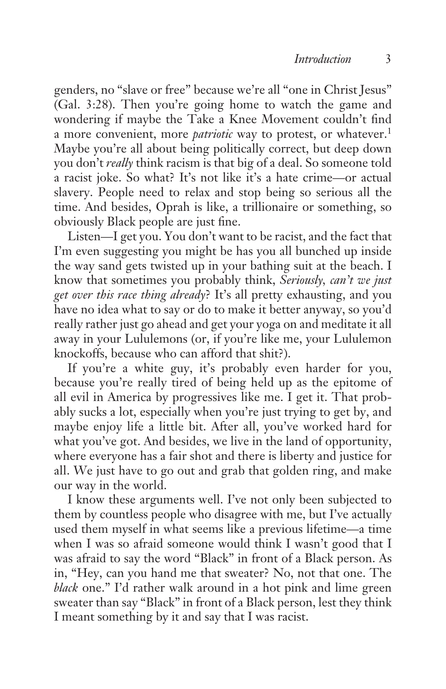genders, no "slave or free" because we're all "one in Christ Jesus" (Gal. 3:28). Then you're going home to watch the game and wondering if maybe the Take a Knee Movement couldn't find a more convenient, more *patriotic* way to protest, or whatever.<sup>1</sup> Maybe you're all about being politically correct, but deep down you don't *really* think racism is that big of a deal. So someone told a racist joke. So what? It's not like it's a hate crime—or actual slavery. People need to relax and stop being so serious all the time. And besides, Oprah is like, a trillionaire or something, so obviously Black people are just fine.

Listen—I get you. You don't want to be racist, and the fact that I'm even suggesting you might be has you all bunched up inside the way sand gets twisted up in your bathing suit at the beach. I know that sometimes you probably think, *Seriously, can't we just get over this race thing already*? It's all pretty exhausting, and you have no idea what to say or do to make it better anyway, so you'd really rather just go ahead and get your yoga on and meditate it all away in your Lululemons (or, if you're like me, your Lululemon knockoffs, because who can afford that shit?).

If you're a white guy, it's probably even harder for you, because you're really tired of being held up as the epitome of all evil in America by progressives like me. I get it. That probably sucks a lot, especially when you're just trying to get by, and maybe enjoy life a little bit. After all, you've worked hard for what you've got. And besides, we live in the land of opportunity, where everyone has a fair shot and there is liberty and justice for all. We just have to go out and grab that golden ring, and make our way in the world.

I know these arguments well. I've not only been subjected to them by countless people who disagree with me, but I've actually used them myself in what seems like a previous lifetime—a time when I was so afraid someone would think I wasn't good that I was afraid to say the word "Black" in front of a Black person. As in, "Hey, can you hand me that sweater? No, not that one. The *black* one." I'd rather walk around in a hot pink and lime green sweater than say "Black" in front of a Black person, lest they think I meant something by it and say that I was racist.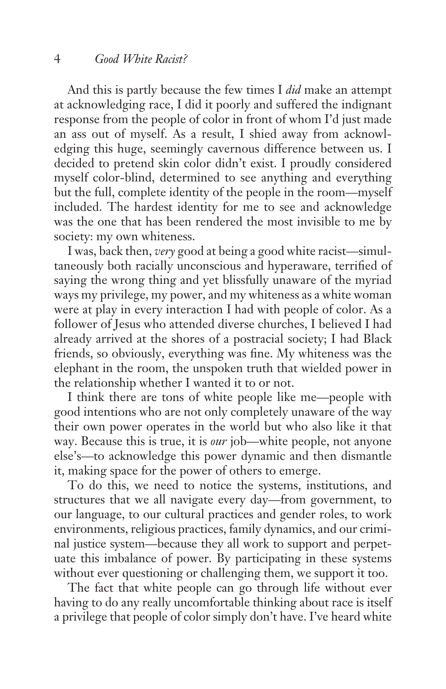And this is partly because the few times I *did* make an attempt at acknowledging race, I did it poorly and suffered the indignant response from the people of color in front of whom I'd just made an ass out of myself. As a result, I shied away from acknowledging this huge, seemingly cavernous difference between us. I decided to pretend skin color didn't exist. I proudly considered myself color-blind, determined to see anything and everything but the full, complete identity of the people in the room—myself included. The hardest identity for me to see and acknowledge was the one that has been rendered the most invisible to me by society: my own whiteness.

I was, back then, *very* good at being a good white racist—simultaneously both racially unconscious and hyperaware, terrified of saying the wrong thing and yet blissfully unaware of the myriad ways my privilege, my power, and my whiteness as a white woman were at play in every interaction I had with people of color. As a follower of Jesus who attended diverse churches, I believed I had already arrived at the shores of a postracial society; I had Black friends, so obviously, everything was fine. My whiteness was the elephant in the room, the unspoken truth that wielded power in the relationship whether I wanted it to or not.

I think there are tons of white people like me—people with good intentions who are not only completely unaware of the way their own power operates in the world but who also like it that way. Because this is true, it is *our* job—white people, not anyone else's—to acknowledge this power dynamic and then dismantle it, making space for the power of others to emerge.

To do this, we need to notice the systems, institutions, and structures that we all navigate every day—from government, to our language, to our cultural practices and gender roles, to work environments, religious practices, family dynamics, and our criminal justice system—because they all work to support and perpetuate this imbalance of power. By participating in these systems without ever questioning or challenging them, we support it too.

The fact that white people can go through life without ever having to do any really uncomfortable thinking about race is itself a privilege that people of color simply don't have. I've heard white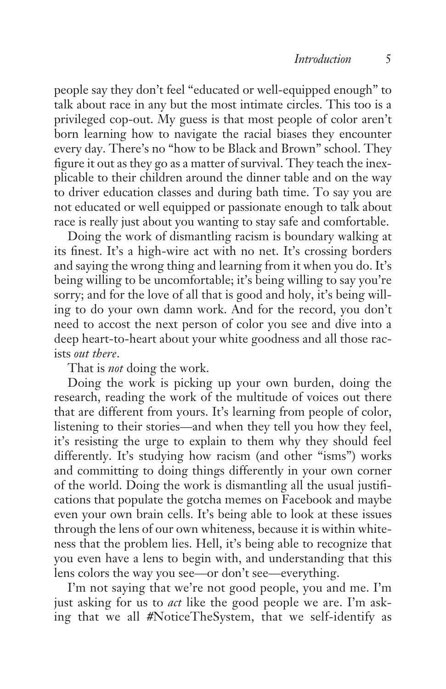people say they don't feel "educated or well-equipped enough" to talk about race in any but the most intimate circles. This too is a privileged cop-out. My guess is that most people of color aren't born learning how to navigate the racial biases they encounter every day. There's no "how to be Black and Brown" school. They figure it out as they go as a matter of survival. They teach the inexplicable to their children around the dinner table and on the way to driver education classes and during bath time. To say you are not educated or well equipped or passionate enough to talk about race is really just about you wanting to stay safe and comfortable.

Doing the work of dismantling racism is boundary walking at its finest. It's a high-wire act with no net. It's crossing borders and saying the wrong thing and learning from it when you do. It's being willing to be uncomfortable; it's being willing to say you're sorry; and for the love of all that is good and holy, it's being willing to do your own damn work. And for the record, you don't need to accost the next person of color you see and dive into a deep heart-to-heart about your white goodness and all those racists *out there*.

That is *not* doing the work.

Doing the work is picking up your own burden, doing the research, reading the work of the multitude of voices out there that are different from yours. It's learning from people of color, listening to their stories—and when they tell you how they feel, it's resisting the urge to explain to them why they should feel differently. It's studying how racism (and other "isms") works and committing to doing things differently in your own corner of the world. Doing the work is dismantling all the usual justifications that populate the gotcha memes on Facebook and maybe even your own brain cells. It's being able to look at these issues through the lens of our own whiteness, because it is within whiteness that the problem lies. Hell, it's being able to recognize that you even have a lens to begin with, and understanding that this lens colors the way you see—or don't see—everything.

I'm not saying that we're not good people, you and me. I'm just asking for us to *act* like the good people we are. I'm asking that we all *#*NoticeTheSystem, that we self-identify as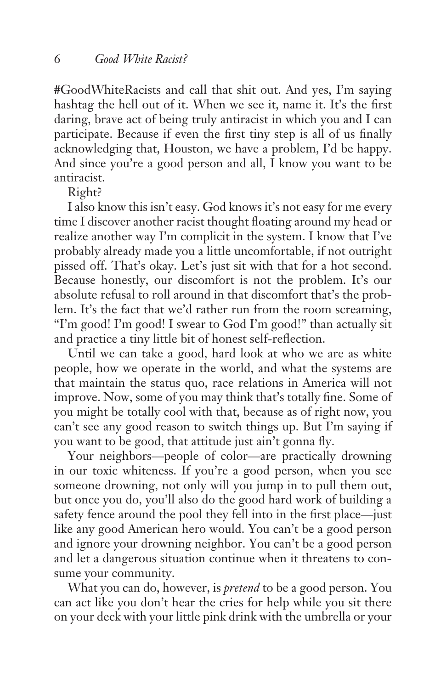#GoodWhiteRacists and call that shit out. And yes, I'm saying hashtag the hell out of it. When we see it, name it. It's the first daring, brave act of being truly antiracist in which you and I can participate. Because if even the first tiny step is all of us finally acknowledging that, Houston, we have a problem, I'd be happy. And since you're a good person and all, I know you want to be antiracist.

Right?

I also know this isn't easy. God knows it's not easy for me every time I discover another racist thought floating around my head or realize another way I'm complicit in the system. I know that I've probably already made you a little uncomfortable, if not outright pissed off. That's okay. Let's just sit with that for a hot second. Because honestly, our discomfort is not the problem. It's our absolute refusal to roll around in that discomfort that's the problem. It's the fact that we'd rather run from the room screaming, "I'm good! I'm good! I swear to God I'm good!" than actually sit and practice a tiny little bit of honest self-reflection.

Until we can take a good, hard look at who we are as white people, how we operate in the world, and what the systems are that maintain the status quo, race relations in America will not improve. Now, some of you may think that's totally fine. Some of you might be totally cool with that, because as of right now, you can't see any good reason to switch things up. But I'm saying if you want to be good, that attitude just ain't gonna fly.

Your neighbors—people of color—are practically drowning in our toxic whiteness. If you're a good person, when you see someone drowning, not only will you jump in to pull them out, but once you do, you'll also do the good hard work of building a safety fence around the pool they fell into in the first place—just like any good American hero would. You can't be a good person and ignore your drowning neighbor. You can't be a good person and let a dangerous situation continue when it threatens to consume your community.

What you can do, however, is *pretend* to be a good person. You can act like you don't hear the cries for help while you sit there on your deck with your little pink drink with the umbrella or your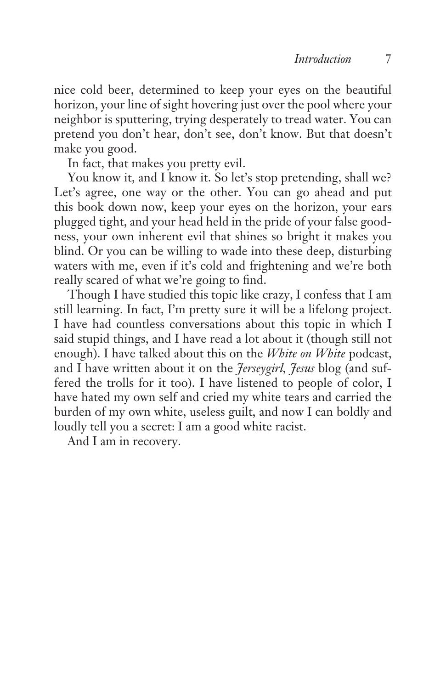nice cold beer, determined to keep your eyes on the beautiful horizon, your line of sight hovering just over the pool where your neighbor is sputtering, trying desperately to tread water. You can pretend you don't hear, don't see, don't know. But that doesn't make you good.

In fact, that makes you pretty evil.

You know it, and I know it. So let's stop pretending, shall we? Let's agree, one way or the other. You can go ahead and put this book down now, keep your eyes on the horizon, your ears plugged tight, and your head held in the pride of your false goodness, your own inherent evil that shines so bright it makes you blind. Or you can be willing to wade into these deep, disturbing waters with me, even if it's cold and frightening and we're both really scared of what we're going to find.

Though I have studied this topic like crazy, I confess that I am still learning. In fact, I'm pretty sure it will be a lifelong project. I have had countless conversations about this topic in which I said stupid things, and I have read a lot about it (though still not enough). I have talked about this on the *White on White* podcast, and I have written about it on the *Jerseygirl, Jesus* blog (and suffered the trolls for it too). I have listened to people of color, I have hated my own self and cried my white tears and carried the burden of my own white, useless guilt, and now I can boldly and loudly tell you a secret: I am a good white racist.

And I am in recovery.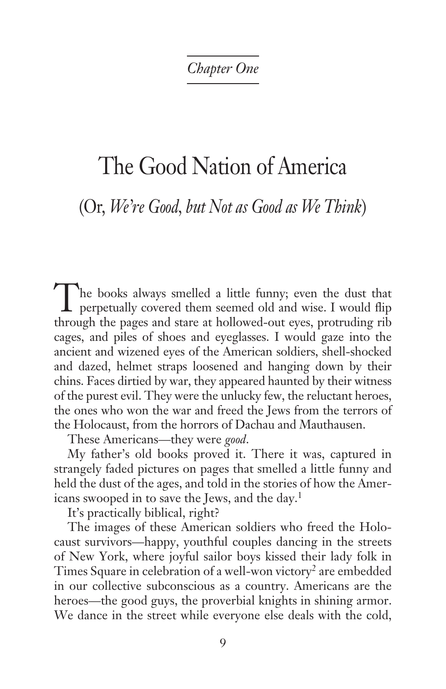### *Chapter One*

## The Good Nation of America

(Or, *We're Good, but Not as Good as We Think*)

The books always smelled a little funny; even the dust that perpetually covered them seemed old and wise. I would flip through the pages and stare at hollowed-out eyes, protruding rib cages, and piles of shoes and eyeglasses. I would gaze into the ancient and wizened eyes of the American soldiers, shell-shocked and dazed, helmet straps loosened and hanging down by their chins. Faces dirtied by war, they appeared haunted by their witness of the purest evil. They were the unlucky few, the reluctant heroes, the ones who won the war and freed the Jews from the terrors of the Holocaust, from the horrors of Dachau and Mauthausen.

These Americans—they were *good*.

My father's old books proved it. There it was, captured in strangely faded pictures on pages that smelled a little funny and held the dust of the ages, and told in the stories of how the Americans swooped in to save the Jews, and the day.1

It's practically biblical, right?

The images of these American soldiers who freed the Holocaust survivors—happy, youthful couples dancing in the streets of New York, where joyful sailor boys kissed their lady folk in Times Square in celebration of a well-won victory<sup>2</sup> are embedded in our collective subconscious as a country. Americans are the heroes—the good guys, the proverbial knights in shining armor. We dance in the street while everyone else deals with the cold,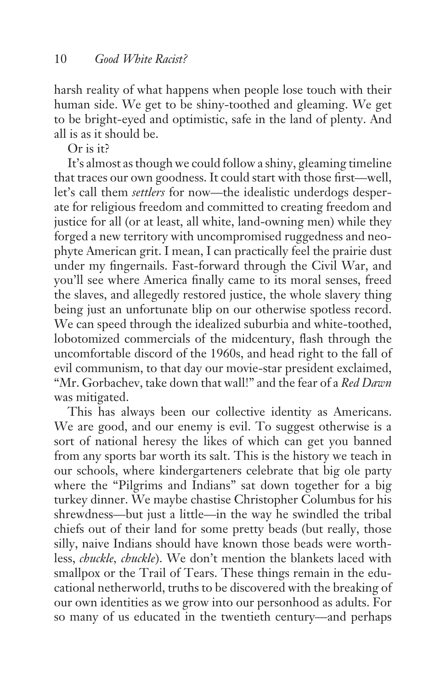harsh reality of what happens when people lose touch with their human side. We get to be shiny-toothed and gleaming. We get to be bright-eyed and optimistic, safe in the land of plenty. And all is as it should be.

Or is it?

It's almost as though we could follow a shiny, gleaming timeline that traces our own goodness. It could start with those first—well, let's call them *settlers* for now—the idealistic underdogs desperate for religious freedom and committed to creating freedom and justice for all (or at least, all white, land-owning men) while they forged a new territory with uncompromised ruggedness and neophyte American grit. I mean, I can practically feel the prairie dust under my fingernails. Fast-forward through the Civil War, and you'll see where America finally came to its moral senses, freed the slaves, and allegedly restored justice, the whole slavery thing being just an unfortunate blip on our otherwise spotless record. We can speed through the idealized suburbia and white-toothed, lobotomized commercials of the midcentury, flash through the uncomfortable discord of the 1960s, and head right to the fall of evil communism, to that day our movie-star president exclaimed, "Mr. Gorbachev, take down that wall!" and the fear of a *Red Dawn* was mitigated.

This has always been our collective identity as Americans. We are good, and our enemy is evil. To suggest otherwise is a sort of national heresy the likes of which can get you banned from any sports bar worth its salt. This is the history we teach in our schools, where kindergarteners celebrate that big ole party where the "Pilgrims and Indians" sat down together for a big turkey dinner. We maybe chastise Christopher Columbus for his shrewdness—but just a little—in the way he swindled the tribal chiefs out of their land for some pretty beads (but really, those silly, naive Indians should have known those beads were worthless, *chuckle, chuckle*). We don't mention the blankets laced with smallpox or the Trail of Tears. These things remain in the educational netherworld, truths to be discovered with the breaking of our own identities as we grow into our personhood as adults. For so many of us educated in the twentieth century—and perhaps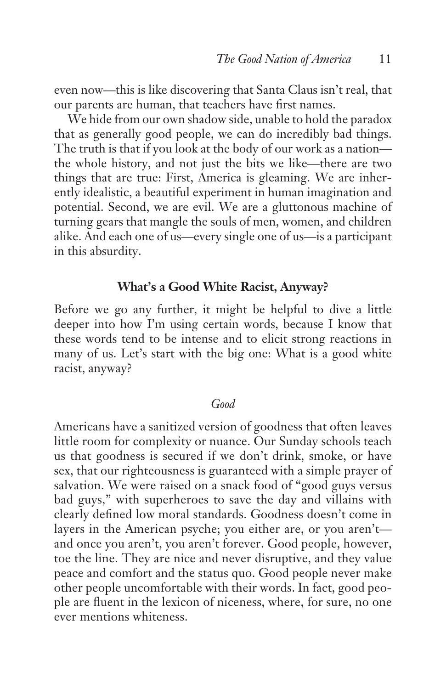even now—this is like discovering that Santa Claus isn't real, that our parents are human, that teachers have first names.

We hide from our own shadow side, unable to hold the paradox that as generally good people, we can do incredibly bad things. The truth is that if you look at the body of our work as a nation the whole history, and not just the bits we like—there are two things that are true: First, America is gleaming. We are inherently idealistic, a beautiful experiment in human imagination and potential. Second, we are evil. We are a gluttonous machine of turning gears that mangle the souls of men, women, and children alike. And each one of us—every single one of us—is a participant in this absurdity.

### **What's a Good White Racist, Anyway?**

Before we go any further, it might be helpful to dive a little deeper into how I'm using certain words, because I know that these words tend to be intense and to elicit strong reactions in many of us. Let's start with the big one: What is a good white racist, anyway?

#### *Good*

Americans have a sanitized version of goodness that often leaves little room for complexity or nuance. Our Sunday schools teach us that goodness is secured if we don't drink, smoke, or have sex, that our righteousness is guaranteed with a simple prayer of salvation. We were raised on a snack food of "good guys versus bad guys," with superheroes to save the day and villains with clearly defined low moral standards. Goodness doesn't come in layers in the American psyche; you either are, or you aren't and once you aren't, you aren't forever. Good people, however, toe the line. They are nice and never disruptive, and they value peace and comfort and the status quo. Good people never make other people uncomfortable with their words. In fact, good people are fluent in the lexicon of niceness, where, for sure, no one ever mentions whiteness.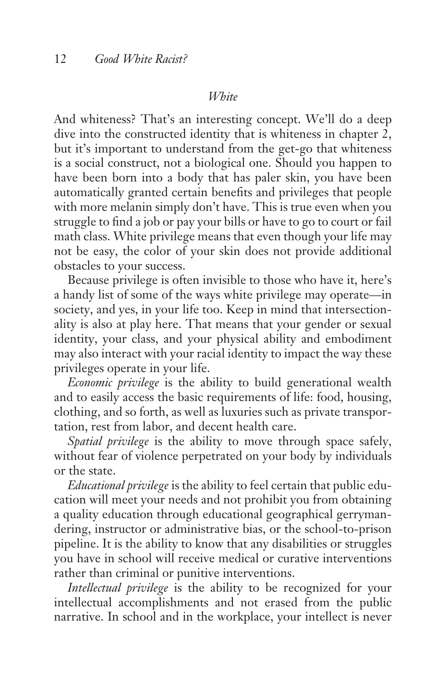#### *White*

And whiteness? That's an interesting concept. We'll do a deep dive into the constructed identity that is whiteness in chapter 2, but it's important to understand from the get-go that whiteness is a social construct, not a biological one. Should you happen to have been born into a body that has paler skin, you have been automatically granted certain benefits and privileges that people with more melanin simply don't have. This is true even when you struggle to find a job or pay your bills or have to go to court or fail math class. White privilege means that even though your life may not be easy, the color of your skin does not provide additional obstacles to your success.

Because privilege is often invisible to those who have it, here's a handy list of some of the ways white privilege may operate—in society, and yes, in your life too. Keep in mind that intersectionality is also at play here. That means that your gender or sexual identity, your class, and your physical ability and embodiment may also interact with your racial identity to impact the way these privileges operate in your life.

*Economic privilege* is the ability to build generational wealth and to easily access the basic requirements of life: food, housing, clothing, and so forth, as well as luxuries such as private transportation, rest from labor, and decent health care.

*Spatial privilege* is the ability to move through space safely, without fear of violence perpetrated on your body by individuals or the state.

*Educational privilege* is the ability to feel certain that public education will meet your needs and not prohibit you from obtaining a quality education through educational geographical gerrymandering, instructor or administrative bias, or the school-to-prison pipeline. It is the ability to know that any disabilities or struggles you have in school will receive medical or curative interventions rather than criminal or punitive interventions.

*Intellectual privilege* is the ability to be recognized for your intellectual accomplishments and not erased from the public narrative. In school and in the workplace, your intellect is never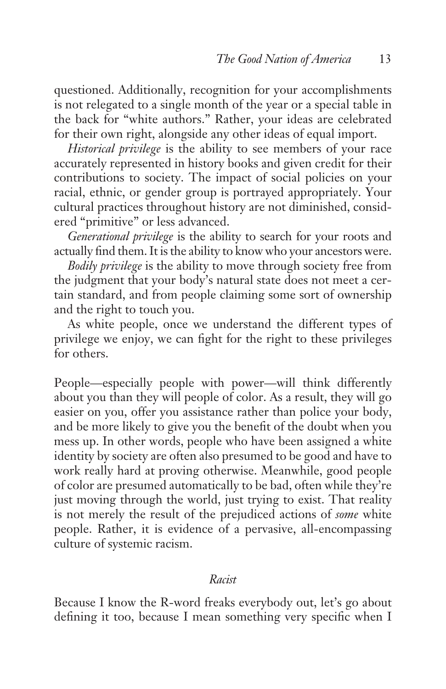questioned. Additionally, recognition for your accomplishments is not relegated to a single month of the year or a special table in the back for "white authors." Rather, your ideas are celebrated for their own right, alongside any other ideas of equal import.

*Historical privilege* is the ability to see members of your race accurately represented in history books and given credit for their contributions to society. The impact of social policies on your racial, ethnic, or gender group is portrayed appropriately. Your cultural practices throughout history are not diminished, considered "primitive" or less advanced.

*Generational privilege* is the ability to search for your roots and actually find them. It is the ability to know who your ancestors were.

*Bodily privilege* is the ability to move through society free from the judgment that your body's natural state does not meet a certain standard, and from people claiming some sort of ownership and the right to touch you.

As white people, once we understand the different types of privilege we enjoy, we can fight for the right to these privileges for others.

People—especially people with power—will think differently about you than they will people of color. As a result, they will go easier on you, offer you assistance rather than police your body, and be more likely to give you the benefit of the doubt when you mess up. In other words, people who have been assigned a white identity by society are often also presumed to be good and have to work really hard at proving otherwise. Meanwhile, good people of color are presumed automatically to be bad, often while they're just moving through the world, just trying to exist. That reality is not merely the result of the prejudiced actions of *some* white people. Rather, it is evidence of a pervasive, all-encompassing culture of systemic racism.

#### *Racist*

Because I know the R-word freaks everybody out, let's go about defining it too, because I mean something very specific when I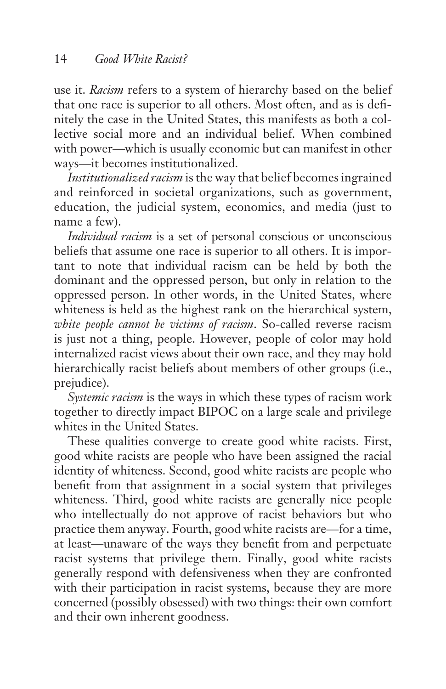use it. *Racism* refers to a system of hierarchy based on the belief that one race is superior to all others. Most often, and as is definitely the case in the United States, this manifests as both a collective social more and an individual belief. When combined with power—which is usually economic but can manifest in other ways—it becomes institutionalized.

*Institutionalized racism* is the way that belief becomes ingrained and reinforced in societal organizations, such as government, education, the judicial system, economics, and media (just to name a few).

*Individual racism* is a set of personal conscious or unconscious beliefs that assume one race is superior to all others. It is important to note that individual racism can be held by both the dominant and the oppressed person, but only in relation to the oppressed person. In other words, in the United States, where whiteness is held as the highest rank on the hierarchical system, *white people cannot be victims of racism*. So-called reverse racism is just not a thing, people. However, people of color may hold internalized racist views about their own race, and they may hold hierarchically racist beliefs about members of other groups (i.e., prejudice).

*Systemic racism* is the ways in which these types of racism work together to directly impact BIPOC on a large scale and privilege whites in the United States.

These qualities converge to create good white racists. First, good white racists are people who have been assigned the racial identity of whiteness. Second, good white racists are people who benefit from that assignment in a social system that privileges whiteness. Third, good white racists are generally nice people who intellectually do not approve of racist behaviors but who practice them anyway. Fourth, good white racists are—for a time, at least—unaware of the ways they benefit from and perpetuate racist systems that privilege them. Finally, good white racists generally respond with defensiveness when they are confronted with their participation in racist systems, because they are more concerned (possibly obsessed) with two things: their own comfort and their own inherent goodness.